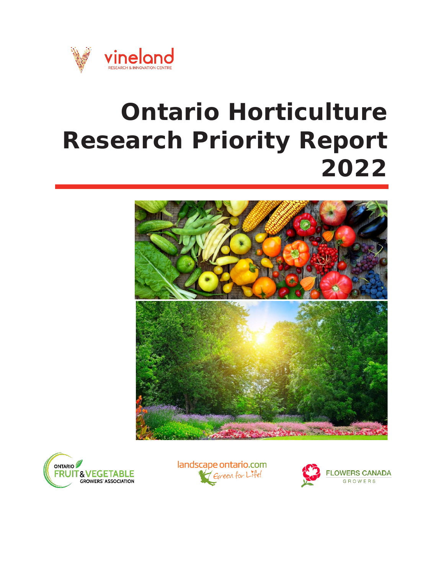

# **Ontario Horticulture Research Priority Report 2022**







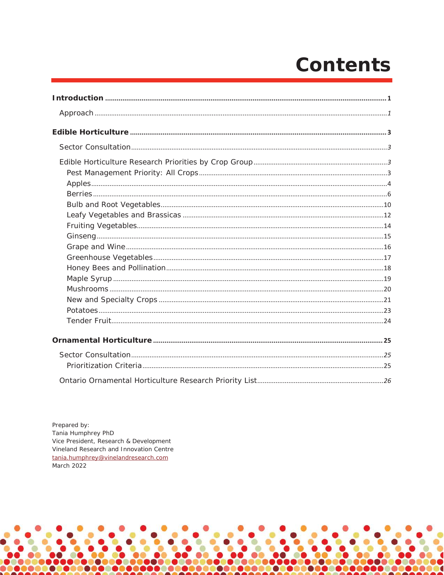## **Contents**

Prepared by: Tania Humphrey PhD Vice President, Research & Development Vineland Research and Innovation Centre tania.humphrey@vinelandresearch.com March 2022

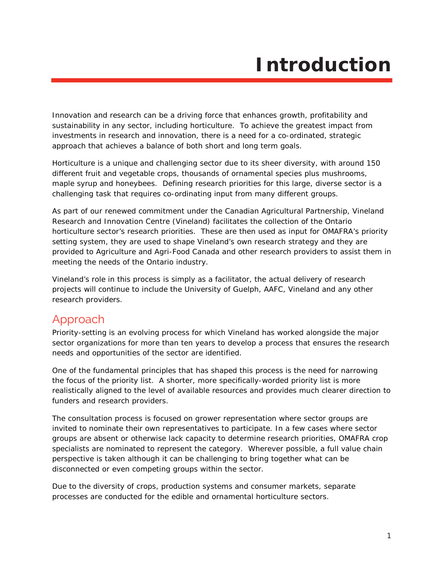## **Introduction**

<span id="page-2-0"></span>Innovation and research can be a driving force that enhances growth, profitability and sustainability in any sector, including horticulture. To achieve the greatest impact from investments in research and innovation, there is a need for a co-ordinated, strategic approach that achieves a balance of both short and long term goals.

Horticulture is a unique and challenging sector due to its sheer diversity, with around 150 different fruit and vegetable crops, thousands of ornamental species plus mushrooms, maple syrup and honeybees. Defining research priorities for this large, diverse sector is a challenging task that requires co-ordinating input from many different groups.

As part of our renewed commitment under the *Canadian Agricultural Partnership*, Vineland Research and Innovation Centre (Vineland) facilitates the collection of the Ontario horticulture sector's research priorities. These are then used as input for OMAFRA's priority setting system, they are used to shape Vineland's own research strategy and they are provided to Agriculture and Agri-Food Canada and other research providers to assist them in meeting the needs of the Ontario industry.

Vineland's role in this process is simply as a facilitator, the actual delivery of research projects will continue to include the University of Guelph, AAFC, Vineland and any other research providers.

## <span id="page-2-1"></span>Approach

Priority-setting is an evolving process for which Vineland has worked alongside the major sector organizations for more than ten years to develop a process that ensures the research needs and opportunities of the sector are identified.

One of the fundamental principles that has shaped this process is the need for narrowing the focus of the priority list. A shorter, more specifically-worded priority list is more realistically aligned to the level of available resources and provides much clearer direction to funders and research providers.

The consultation process is focused on grower representation where sector groups are invited to nominate their own representatives to participate. In a few cases where sector groups are absent or otherwise lack capacity to determine research priorities, OMAFRA crop specialists are nominated to represent the category. Wherever possible, a full value chain perspective is taken although it can be challenging to bring together what can be disconnected or even competing groups within the sector.

Due to the diversity of crops, production systems and consumer markets, separate processes are conducted for the edible and ornamental horticulture sectors.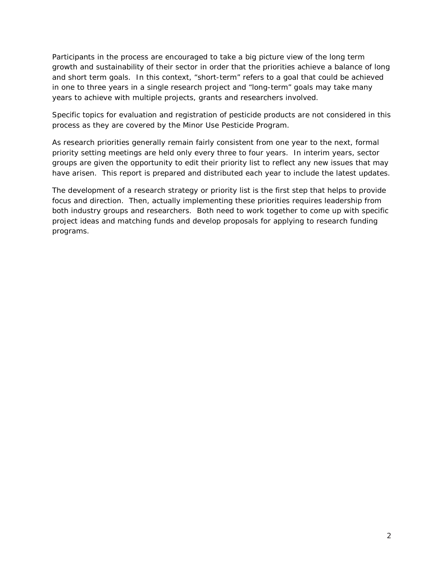Participants in the process are encouraged to take a big picture view of the long term growth and sustainability of their sector in order that the priorities achieve a balance of long and short term goals. In this context, "short-term" refers to a goal that could be achieved in one to three years in a single research project and "long-term" goals may take many years to achieve with multiple projects, grants and researchers involved.

Specific topics for evaluation and registration of pesticide products are not considered in this process as they are covered by the Minor Use Pesticide Program.

As research priorities generally remain fairly consistent from one year to the next, formal priority setting meetings are held only every three to four years. In interim years, sector groups are given the opportunity to edit their priority list to reflect any new issues that may have arisen. This report is prepared and distributed each year to include the latest updates.

The development of a research strategy or priority list is the first step that helps to provide focus and direction. Then, actually implementing these priorities requires leadership from both industry groups and researchers. Both need to work together to come up with specific project ideas and matching funds and develop proposals for applying to research funding programs.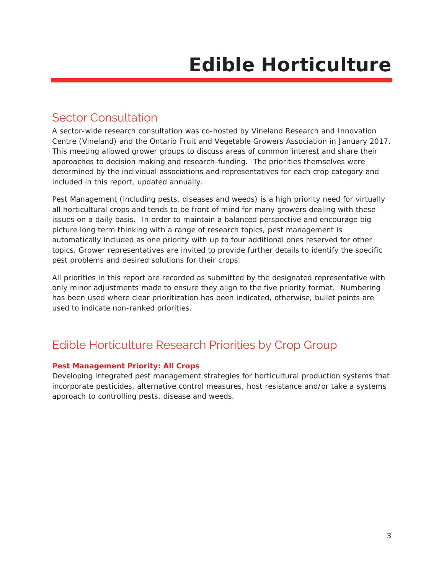## <span id="page-4-1"></span><span id="page-4-0"></span>Sector Consultation

A sector-wide research consultation was co-hosted by Vineland Research and Innovation Centre (Vineland) and the Ontario Fruit and Vegetable Growers Association in January 2017. This meeting allowed grower groups to discuss areas of common interest and share their approaches to decision making and research-funding. The priorities themselves were determined by the individual associations and representatives for each crop category and included in this report, updated annually.

Pest Management (including pests, diseases and weeds) is a high priority need for virtually all horticultural crops and tends to be front of mind for many growers dealing with these issues on a daily basis. In order to maintain a balanced perspective and encourage big picture long term thinking with a range of research topics, pest management is automatically included as one priority with up to four additional ones reserved for other topics. Grower representatives are invited to provide further details to identify the specific pest problems and desired solutions for their crops.

All priorities in this report are recorded as submitted by the designated representative with only minor adjustments made to ensure they align to the five priority format. Numbering has been used where clear prioritization has been indicated, otherwise, bullet points are used to indicate non-ranked priorities.

## <span id="page-4-2"></span>Edible Horticulture Research Priorities by Crop Group

#### <span id="page-4-3"></span>**Pest Management Priority: All Crops**

Developing integrated pest management strategies for horticultural production systems that incorporate pesticides, alternative control measures, host resistance and/or take a systems approach to controlling pests, disease and weeds.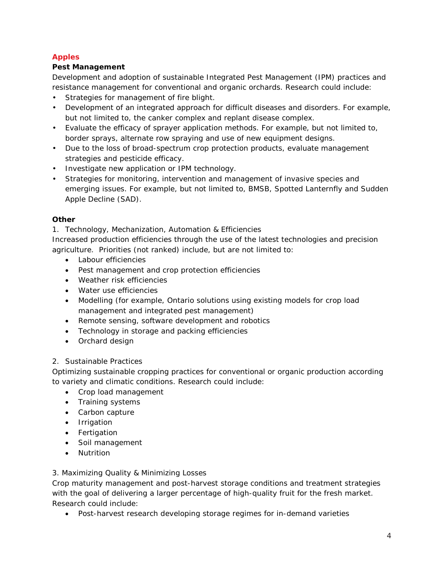#### <span id="page-5-0"></span>**Apples**

#### **Pest Management**

Development and adoption of sustainable Integrated Pest Management (IPM) practices and resistance management for conventional and organic orchards. Research could include:

- Strategies for management of fire blight.
- Development of an integrated approach for difficult diseases and disorders. For example, but not limited to, the canker complex and replant disease complex.
- Evaluate the efficacy of sprayer application methods. For example, but not limited to, border sprays, alternate row spraying and use of new equipment designs.
- Due to the loss of broad-spectrum crop protection products, evaluate management strategies and pesticide efficacy.
- Investigate new application or IPM technology.
- Strategies for monitoring, intervention and management of invasive species and emerging issues. For example, but not limited to, BMSB, Spotted Lanternfly and Sudden Apple Decline (SAD).

#### **Other**

1. Technology, Mechanization, Automation & Efficiencies

Increased production efficiencies through the use of the latest technologies and precision agriculture. Priorities (not ranked) include, but are not limited to:

- Labour efficiencies
- Pest management and crop protection efficiencies
- Weather risk efficiencies
- Water use efficiencies
- Modelling (for example, Ontario solutions using existing models for crop load management and integrated pest management)
- Remote sensing, software development and robotics
- Technology in storage and packing efficiencies
- Orchard design

#### 2. Sustainable Practices

Optimizing sustainable cropping practices for conventional or organic production according to variety and climatic conditions. Research could include:

- Crop load management
- Training systems
- Carbon capture
- Irrigation
- Fertigation
- Soil management
- Nutrition

#### 3. Maximizing Quality & Minimizing Losses

Crop maturity management and post-harvest storage conditions and treatment strategies with the goal of delivering a larger percentage of high-quality fruit for the fresh market. Research could include:

• Post-harvest research developing storage regimes for in-demand varieties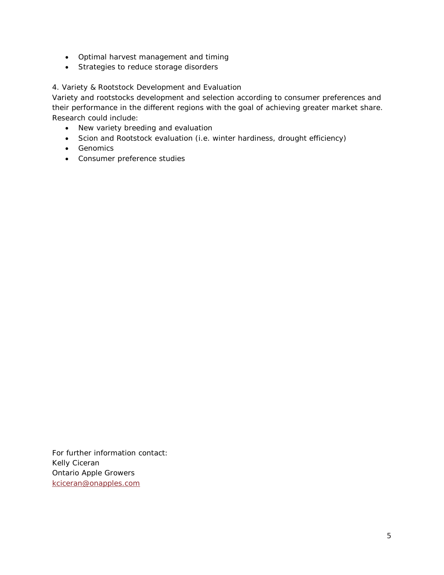- Optimal harvest management and timing
- Strategies to reduce storage disorders

#### 4. Variety & Rootstock Development and Evaluation

Variety and rootstocks development and selection according to consumer preferences and their performance in the different regions with the goal of achieving greater market share. Research could include:

- New variety breeding and evaluation
- Scion and Rootstock evaluation (i.e. winter hardiness, drought efficiency)
- Genomics
- Consumer preference studies

For further information contact: Kelly Ciceran Ontario Apple Growers [kciceran@onapples.com](mailto:kciceran@onapples.com)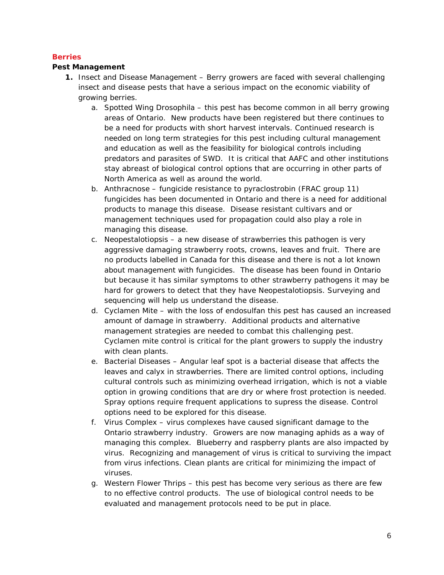#### <span id="page-7-0"></span>**Berries**

#### **Pest Management**

- **1.** Insect and Disease Management Berry growers are faced with several challenging insect and disease pests that have a serious impact on the economic viability of growing berries.
	- a. Spotted Wing Drosophila this pest has become common in all berry growing areas of Ontario. New products have been registered but there continues to be a need for products with short harvest intervals. Continued research is needed on long term strategies for this pest including cultural management and education as well as the feasibility for biological controls including predators and parasites of SWD. It is critical that AAFC and other institutions stay abreast of biological control options that are occurring in other parts of North America as well as around the world.
	- b. Anthracnose fungicide resistance to pyraclostrobin (FRAC group 11) fungicides has been documented in Ontario and there is a need for additional products to manage this disease. Disease resistant cultivars and or management techniques used for propagation could also play a role in managing this disease.
	- c. Neopestalotiopsis a new disease of strawberries this pathogen is very aggressive damaging strawberry roots, crowns, leaves and fruit. There are no products labelled in Canada for this disease and there is not a lot known about management with fungicides. The disease has been found in Ontario but because it has similar symptoms to other strawberry pathogens it may be hard for growers to detect that they have Neopestalotiopsis. Surveying and sequencing will help us understand the disease.
	- d. Cyclamen Mite with the loss of endosulfan this pest has caused an increased amount of damage in strawberry. Additional products and alternative management strategies are needed to combat this challenging pest. Cyclamen mite control is critical for the plant growers to supply the industry with clean plants.
	- e. Bacterial Diseases Angular leaf spot is a bacterial disease that affects the leaves and calyx in strawberries. There are limited control options, including cultural controls such as minimizing overhead irrigation, which is not a viable option in growing conditions that are dry or where frost protection is needed. Spray options require frequent applications to supress the disease. Control options need to be explored for this disease.
	- f. Virus Complex virus complexes have caused significant damage to the Ontario strawberry industry. Growers are now managing aphids as a way of managing this complex. Blueberry and raspberry plants are also impacted by virus. Recognizing and management of virus is critical to surviving the impact from virus infections. Clean plants are critical for minimizing the impact of viruses.
	- g. Western Flower Thrips this pest has become very serious as there are few to no effective control products. The use of biological control needs to be evaluated and management protocols need to be put in place.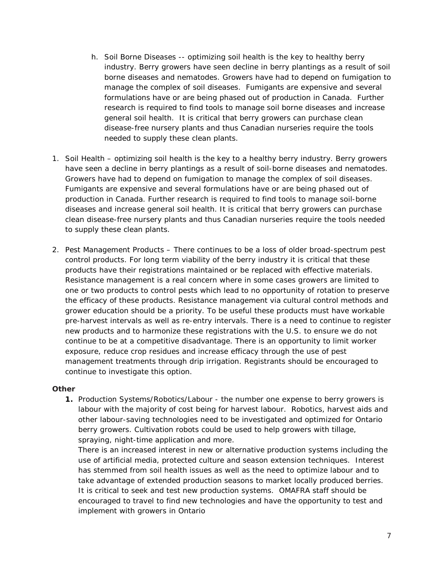- h. Soil Borne Diseases -- optimizing soil health is the key to healthy berry industry. Berry growers have seen decline in berry plantings as a result of soil borne diseases and nematodes. Growers have had to depend on fumigation to manage the complex of soil diseases. Fumigants are expensive and several formulations have or are being phased out of production in Canada. Further research is required to find tools to manage soil borne diseases and increase general soil health. It is critical that berry growers can purchase clean disease-free nursery plants and thus Canadian nurseries require the tools needed to supply these clean plants.
- 1. Soil Health optimizing soil health is the key to a healthy berry industry. Berry growers have seen a decline in berry plantings as a result of soil-borne diseases and nematodes. Growers have had to depend on fumigation to manage the complex of soil diseases. Fumigants are expensive and several formulations have or are being phased out of production in Canada. Further research is required to find tools to manage soil-borne diseases and increase general soil health. It is critical that berry growers can purchase clean disease-free nursery plants and thus Canadian nurseries require the tools needed to supply these clean plants.
- 2. Pest Management Products There continues to be a loss of older broad-spectrum pest control products. For long term viability of the berry industry it is critical that these products have their registrations maintained or be replaced with effective materials. Resistance management is a real concern where in some cases growers are limited to one or two products to control pests which lead to no opportunity of rotation to preserve the efficacy of these products. Resistance management via cultural control methods and grower education should be a priority. To be useful these products must have workable pre-harvest intervals as well as re-entry intervals. There is a need to continue to register new products and to harmonize these registrations with the U.S. to ensure we do not continue to be at a competitive disadvantage. There is an opportunity to limit worker exposure, reduce crop residues and increase efficacy through the use of pest management treatments through drip irrigation. Registrants should be encouraged to continue to investigate this option.

#### **Other**

**1.** Production Systems/Robotics/Labour - the number one expense to berry growers is labour with the majority of cost being for harvest labour. Robotics, harvest aids and other labour-saving technologies need to be investigated and optimized for Ontario berry growers. Cultivation robots could be used to help growers with tillage, spraying, night-time application and more.

There is an increased interest in new or alternative production systems including the use of artificial media, protected culture and season extension techniques. Interest has stemmed from soil health issues as well as the need to optimize labour and to take advantage of extended production seasons to market locally produced berries. It is critical to seek and test new production systems. OMAFRA staff should be encouraged to travel to find new technologies and have the opportunity to test and implement with growers in Ontario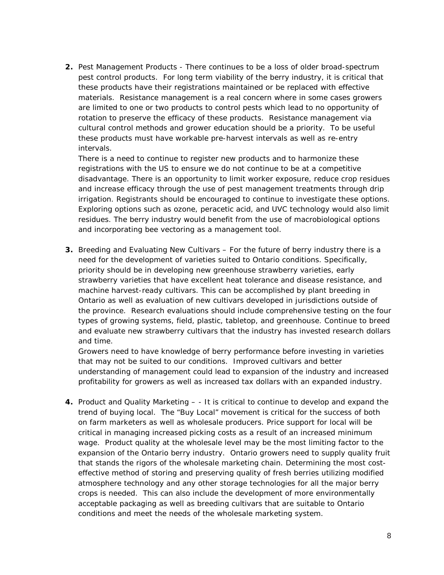**2.** Pest Management Products - There continues to be a loss of older broad-spectrum pest control products. For long term viability of the berry industry, it is critical that these products have their registrations maintained or be replaced with effective materials. Resistance management is a real concern where in some cases growers are limited to one or two products to control pests which lead to no opportunity of rotation to preserve the efficacy of these products. Resistance management via cultural control methods and grower education should be a priority. To be useful these products must have workable pre-harvest intervals as well as re-entry intervals.

There is a need to continue to register new products and to harmonize these registrations with the US to ensure we do not continue to be at a competitive disadvantage. There is an opportunity to limit worker exposure, reduce crop residues and increase efficacy through the use of pest management treatments through drip irrigation. Registrants should be encouraged to continue to investigate these options. Exploring options such as ozone, peracetic acid, and UVC technology would also limit residues. The berry industry would benefit from the use of macrobiological options and incorporating bee vectoring as a management tool.

**3.** Breeding and Evaluating New Cultivars – For the future of berry industry there is a need for the development of varieties suited to Ontario conditions. Specifically, priority should be in developing new greenhouse strawberry varieties, early strawberry varieties that have excellent heat tolerance and disease resistance, and machine harvest-ready cultivars. This can be accomplished by plant breeding in Ontario as well as evaluation of new cultivars developed in jurisdictions outside of the province. Research evaluations should include comprehensive testing on the four types of growing systems, field, plastic, tabletop, and greenhouse. Continue to breed and evaluate new strawberry cultivars that the industry has invested research dollars and time.

Growers need to have knowledge of berry performance before investing in varieties that may not be suited to our conditions. Improved cultivars and better understanding of management could lead to expansion of the industry and increased profitability for growers as well as increased tax dollars with an expanded industry.

**4.** Product and Quality Marketing – - It is critical to continue to develop and expand the trend of buying local. The "Buy Local" movement is critical for the success of both on farm marketers as well as wholesale producers. Price support for local will be critical in managing increased picking costs as a result of an increased minimum wage. Product quality at the wholesale level may be the most limiting factor to the expansion of the Ontario berry industry. Ontario growers need to supply quality fruit that stands the rigors of the wholesale marketing chain. Determining the most costeffective method of storing and preserving quality of fresh berries utilizing modified atmosphere technology and any other storage technologies for all the major berry crops is needed. This can also include the development of more environmentally acceptable packaging as well as breeding cultivars that are suitable to Ontario conditions and meet the needs of the wholesale marketing system.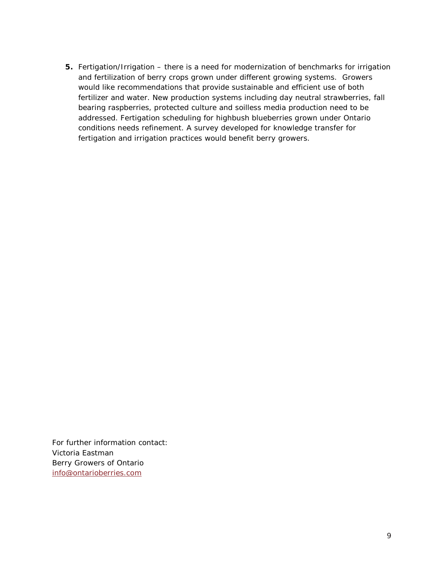**5.** Fertigation/Irrigation – there is a need for modernization of benchmarks for irrigation and fertilization of berry crops grown under different growing systems. Growers would like recommendations that provide sustainable and efficient use of both fertilizer and water. New production systems including day neutral strawberries, fall bearing raspberries, protected culture and soilless media production need to be addressed. Fertigation scheduling for highbush blueberries grown under Ontario conditions needs refinement. A survey developed for knowledge transfer for fertigation and irrigation practices would benefit berry growers.

For further information contact: Victoria Eastman Berry Growers of Ontario [info@ontarioberries.com](mailto:info@ontarioberries.com)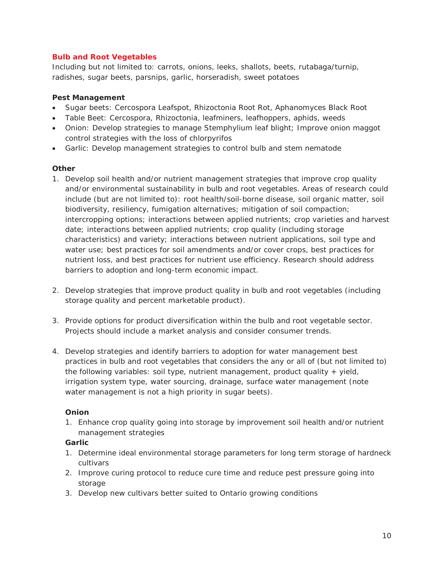#### <span id="page-11-0"></span>**Bulb and Root Vegetables**

Including but not limited to: carrots, onions, leeks, shallots, beets, rutabaga/turnip, radishes, sugar beets, parsnips, garlic, horseradish, sweet potatoes

#### **Pest Management**

- Sugar beets: Cercospora Leafspot, Rhizoctonia Root Rot, Aphanomyces Black Root
- Table Beet: Cercospora, Rhizoctonia, leafminers, leafhoppers, aphids, weeds
- Onion: Develop strategies to manage Stemphylium leaf blight; Improve onion maggot control strategies with the loss of chlorpyrifos
- Garlic: Develop management strategies to control bulb and stem nematode

#### **Other**

- 1. Develop soil health and/or nutrient management strategies that improve crop quality and/or environmental sustainability in bulb and root vegetables. Areas of research could include (but are not limited to): root health/soil-borne disease, soil organic matter, soil biodiversity, resiliency, fumigation alternatives; mitigation of soil compaction; intercropping options; interactions between applied nutrients; crop varieties and harvest date; interactions between applied nutrients; crop quality (including storage characteristics) and variety; interactions between nutrient applications, soil type and water use; best practices for soil amendments and/or cover crops, best practices for nutrient loss, and best practices for nutrient use efficiency. Research should address barriers to adoption and long-term economic impact.
- 2. Develop strategies that improve product quality in bulb and root vegetables (including storage quality and percent marketable product).
- 3. Provide options for product diversification within the bulb and root vegetable sector. Projects should include a market analysis and consider consumer trends.
- 4. Develop strategies and identify barriers to adoption for water management best practices in bulb and root vegetables that considers the any or all of (but not limited to) the following variables: soil type, nutrient management, product quality + yield, irrigation system type, water sourcing, drainage, surface water management (note water management is not a high priority in sugar beets).

#### **Onion**

1. Enhance crop quality going into storage by improvement soil health and/or nutrient management strategies

#### **Garlic**

- 1. Determine ideal environmental storage parameters for long term storage of hardneck cultivars
- 2. Improve curing protocol to reduce cure time and reduce pest pressure going into storage
- 3. Develop new cultivars better suited to Ontario growing conditions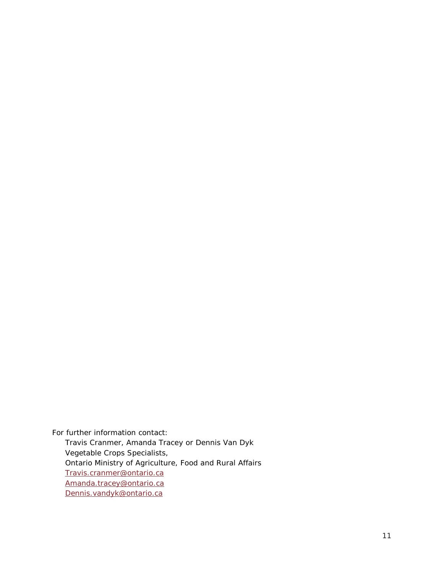For further information contact: Travis Cranmer, Amanda Tracey or Dennis Van Dyk Vegetable Crops Specialists, Ontario Ministry of Agriculture, Food and Rural Affairs Travis[.cranmer@ontario.ca](mailto:cranmer@ontario.ca) Amanda.tracey@ontario.ca [Dennis.vandyk@ontario.ca](mailto:Dennis.vandyk@ontario.ca)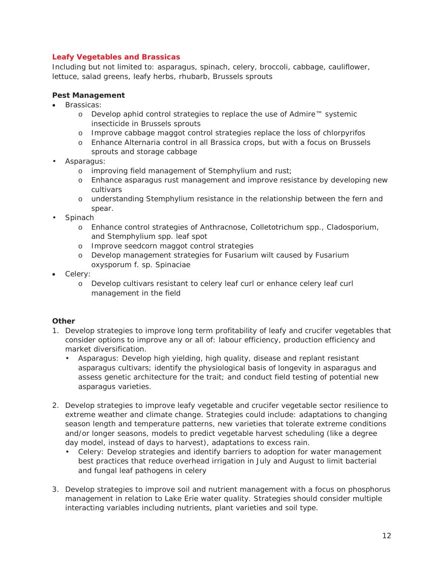#### <span id="page-13-0"></span>**Leafy Vegetables and Brassicas**

Including but not limited to: asparagus, spinach, celery, broccoli, cabbage, cauliflower, lettuce, salad greens, leafy herbs, rhubarb, Brussels sprouts

#### **Pest Management**

- Brassicas:
	- o Develop aphid control strategies to replace the use of Admire™ systemic insecticide in Brussels sprouts
	- o Improve cabbage maggot control strategies replace the loss of chlorpyrifos
	- o Enhance Alternaria control in all Brassica crops, but with a focus on Brussels sprouts and storage cabbage
- Asparagus:
	- o improving field management of Stemphylium and rust;
	- o Enhance asparagus rust management and improve resistance by developing new cultivars
	- o understanding Stemphylium resistance in the relationship between the fern and spear.
- Spinach
	- o Enhance control strategies of Anthracnose, Colletotrichum spp., Cladosporium, and Stemphylium spp. leaf spot
	- o Improve seedcorn maggot control strategies
	- o Develop management strategies for Fusarium wilt caused by Fusarium oxysporum f. sp. Spinaciae
- Celery:
	- o Develop cultivars resistant to celery leaf curl or enhance celery leaf curl management in the field

#### **Other**

- 1. Develop strategies to improve long term profitability of leafy and crucifer vegetables that consider options to improve any or all of: labour efficiency, production efficiency and market diversification.
	- Asparagus: Develop high yielding, high quality, disease and replant resistant asparagus cultivars; identify the physiological basis of longevity in asparagus and assess genetic architecture for the trait; and conduct field testing of potential new asparagus varieties.
- 2. Develop strategies to improve leafy vegetable and crucifer vegetable sector resilience to extreme weather and climate change. Strategies could include: adaptations to changing season length and temperature patterns, new varieties that tolerate extreme conditions and/or longer seasons, models to predict vegetable harvest scheduling (like a degree day model, instead of days to harvest), adaptations to excess rain.
	- Celery: Develop strategies and identify barriers to adoption for water management best practices that reduce overhead irrigation in July and August to limit bacterial and fungal leaf pathogens in celery
- 3. Develop strategies to improve soil and nutrient management with a focus on phosphorus management in relation to Lake Erie water quality. Strategies should consider multiple interacting variables including nutrients, plant varieties and soil type.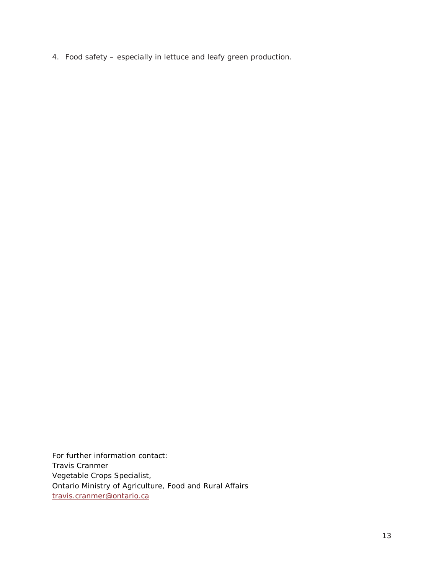4. Food safety – especially in lettuce and leafy green production.

For further information contact: Travis Cranmer Vegetable Crops Specialist, Ontario Ministry of Agriculture, Food and Rural Affairs [travis.cranmer@ontario.ca](mailto:travis.cranmer@ontario.ca)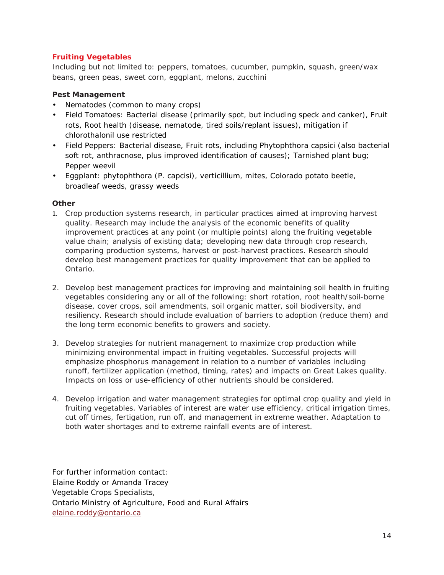#### <span id="page-15-0"></span>**Fruiting Vegetables**

Including but not limited to: peppers, tomatoes, cucumber, pumpkin, squash, green/wax beans, green peas, sweet corn, eggplant, melons, zucchini

#### **Pest Management**

- Nematodes (common to many crops)
- Field Tomatoes: Bacterial disease (primarily spot, but including speck and canker), Fruit rots, Root health (disease, nematode, tired soils/replant issues), mitigation if chlorothalonil use restricted
- Field Peppers: Bacterial disease, Fruit rots, including *Phytophthora capsici* (also bacterial soft rot, anthracnose, plus improved identification of causes); Tarnished plant bug; Pepper weevil
- Eggplant: phytophthora (*P. capcisi*), verticillium, mites, Colorado potato beetle, broadleaf weeds, grassy weeds

#### **Other**

- 1. Crop production systems research, in particular practices aimed at improving harvest quality. Research may include the analysis of the economic benefits of quality improvement practices at any point (or multiple points) along the fruiting vegetable value chain; analysis of existing data; developing new data through crop research, comparing production systems, harvest or post-harvest practices. Research should develop best management practices for quality improvement that can be applied to Ontario.
- 2. Develop best management practices for improving and maintaining soil health in fruiting vegetables considering any or all of the following: short rotation, root health/soil-borne disease, cover crops, soil amendments, soil organic matter, soil biodiversity, and resiliency. Research should include evaluation of barriers to adoption (reduce them) and the long term economic benefits to growers and society.
- 3. Develop strategies for nutrient management to maximize crop production while minimizing environmental impact in fruiting vegetables. Successful projects will emphasize phosphorus management in relation to a number of variables including runoff, fertilizer application (method, timing, rates) and impacts on Great Lakes quality. Impacts on loss or use-efficiency of other nutrients should be considered.
- 4. Develop irrigation and water management strategies for optimal crop quality and yield in fruiting vegetables. Variables of interest are water use efficiency, critical irrigation times, cut off times, fertigation, run off, and management in extreme weather. Adaptation to both water shortages and to extreme rainfall events are of interest.

For further information contact: Elaine Roddy or Amanda Tracey Vegetable Crops Specialists, Ontario Ministry of Agriculture, Food and Rural Affairs [elaine.roddy@ontario.ca](mailto:elaine.roddy@ontario.ca)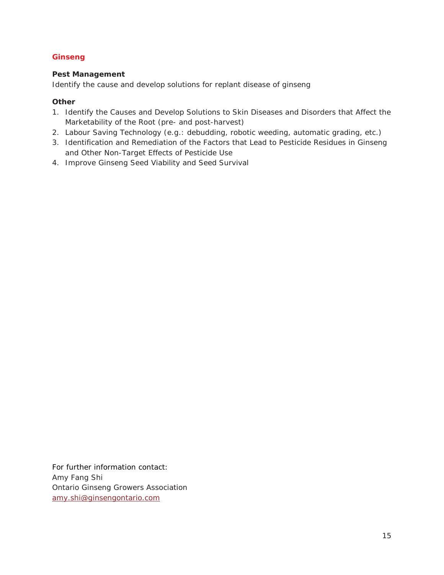#### <span id="page-16-0"></span>**Ginseng**

#### **Pest Management**

Identify the cause and develop solutions for replant disease of ginseng

#### **Other**

- 1. Identify the Causes and Develop Solutions to Skin Diseases and Disorders that Affect the Marketability of the Root (pre- and post-harvest)
- 2. Labour Saving Technology (e.g.: debudding, robotic weeding, automatic grading, etc.)
- 3. Identification and Remediation of the Factors that Lead to Pesticide Residues in Ginseng and Other Non-Target Effects of Pesticide Use
- 4. Improve Ginseng Seed Viability and Seed Survival

For further information contact: Amy Fang Shi Ontario Ginseng Growers Association [amy.shi@ginsengontario.com](mailto:amy.shi@ginsengontario.com)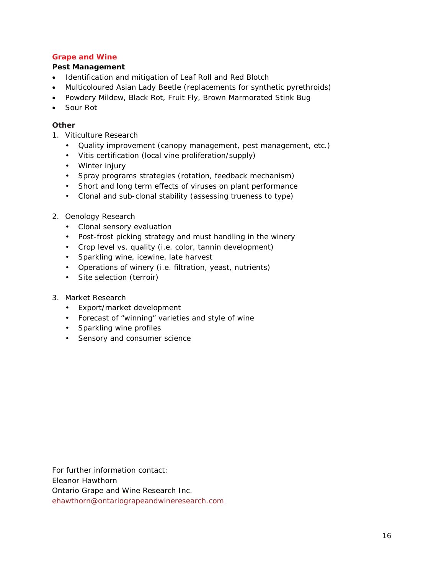#### <span id="page-17-0"></span>**Grape and Wine**

#### **Pest Management**

- Identification and mitigation of Leaf Roll and Red Blotch
- Multicoloured Asian Lady Beetle (replacements for synthetic pyrethroids)
- Powdery Mildew, Black Rot, Fruit Fly, Brown Marmorated Stink Bug
- Sour Rot

#### **Other**

- 1. Viticulture Research
	- Quality improvement (canopy management, pest management, etc.)
	- Vitis certification (local vine proliferation/supply)
	- Winter injury
	- Spray programs strategies (rotation, feedback mechanism)
	- Short and long term effects of viruses on plant performance
	- Clonal and sub-clonal stability (assessing trueness to type)
- 2. Oenology Research
	- Clonal sensory evaluation
	- Post-frost picking strategy and must handling in the winery
	- Crop level vs. quality (i.e. color, tannin development)
	- Sparkling wine, icewine, late harvest
	- Operations of winery (i.e. filtration, yeast, nutrients)
	- Site selection (terroir)
- 3. Market Research
	- Export/market development
	- Forecast of "winning" varieties and style of wine
	- Sparkling wine profiles
	- Sensory and consumer science

For further information contact: Eleanor Hawthorn Ontario Grape and Wine Research Inc. [ehawthorn@ontariograpeandwineresearch.com](mailto:ehawthorn@ontariograpeandwineresearch.com)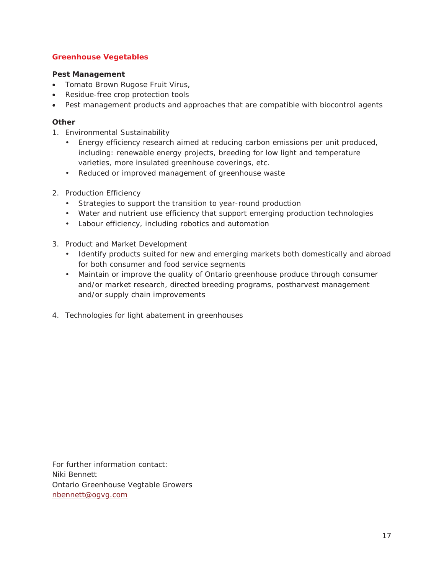#### <span id="page-18-0"></span>**Greenhouse Vegetables**

#### **Pest Management**

- Tomato Brown Rugose Fruit Virus,
- Residue-free crop protection tools
- Pest management products and approaches that are compatible with biocontrol agents

#### **Other**

- 1. Environmental Sustainability
	- Energy efficiency research aimed at reducing carbon emissions per unit produced, including: renewable energy projects, breeding for low light and temperature varieties, more insulated greenhouse coverings, etc.
	- Reduced or improved management of greenhouse waste
- 2. Production Efficiency
	- Strategies to support the transition to year-round production
	- Water and nutrient use efficiency that support emerging production technologies
	- Labour efficiency, including robotics and automation
- 3. Product and Market Development
	- Identify products suited for new and emerging markets both domestically and abroad for both consumer and food service segments
	- Maintain or improve the quality of Ontario greenhouse produce through consumer and/or market research, directed breeding programs, postharvest management and/or supply chain improvements
- 4. Technologies for light abatement in greenhouses

For further information contact: Niki Bennett Ontario Greenhouse Vegtable Growers [nbennett@ogvg.com](mailto:nbennett@ogvg.com)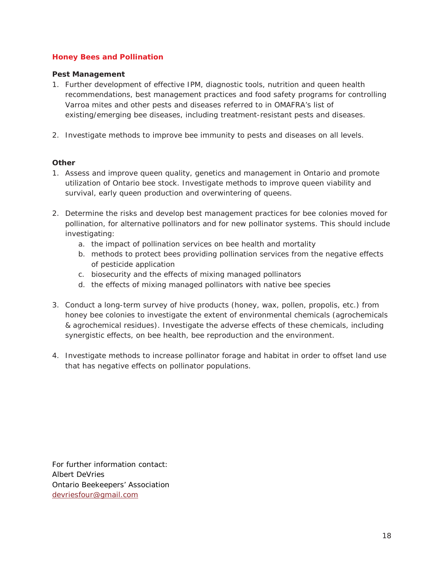#### <span id="page-19-0"></span>**Honey Bees and Pollination**

#### **Pest Management**

- 1. Further development of effective IPM, diagnostic tools, nutrition and queen health recommendations, best management practices and food safety programs for controlling Varroa mites and other pests and diseases referred to in OMAFRA's list of existing/emerging bee diseases, including treatment-resistant pests and diseases.
- 2. Investigate methods to improve bee immunity to pests and diseases on all levels.

#### **Other**

- 1. Assess and improve queen quality, genetics and management in Ontario and promote utilization of Ontario bee stock. Investigate methods to improve queen viability and survival, early queen production and overwintering of queens.
- 2. Determine the risks and develop best management practices for bee colonies moved for pollination, for alternative pollinators and for new pollinator systems. This should include investigating:
	- a. the impact of pollination services on bee health and mortality
	- b. methods to protect bees providing pollination services from the negative effects of pesticide application
	- c. biosecurity and the effects of mixing managed pollinators
	- d. the effects of mixing managed pollinators with native bee species
- 3. Conduct a long-term survey of hive products (honey, wax, pollen, propolis, etc.) from honey bee colonies to investigate the extent of environmental chemicals (agrochemicals & agrochemical residues). Investigate the adverse effects of these chemicals, including synergistic effects, on bee health, bee reproduction and the environment.
- 4. Investigate methods to increase pollinator forage and habitat in order to offset land use that has negative effects on pollinator populations.

For further information contact: Albert DeVries Ontario Beekeepers' Association [devriesfour@gmail.com](mailto:devriesfour@gmail.com)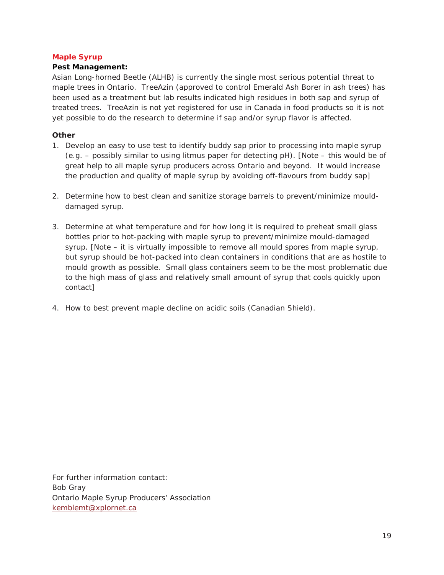#### <span id="page-20-0"></span>**Maple Syrup**

#### **Pest Management:**

Asian Long-horned Beetle (ALHB) is currently the single most serious potential threat to maple trees in Ontario. TreeAzin (approved to control Emerald Ash Borer in ash trees) has been used as a treatment but lab results indicated high residues in both sap and syrup of treated trees. TreeAzin is not yet registered for use in Canada in food products so it is not yet possible to do the research to determine if sap and/or syrup flavor is affected.

#### **Other**

- 1. Develop an easy to use test to identify buddy sap prior to processing into maple syrup (e.g. – possibly similar to using litmus paper for detecting pH). [Note – this would be of great help to all maple syrup producers across Ontario and beyond. It would increase the production and quality of maple syrup by avoiding off-flavours from buddy sap]
- 2. Determine how to best clean and sanitize storage barrels to prevent/minimize moulddamaged syrup.
- 3. Determine at what temperature and for how long it is required to preheat small glass bottles prior to hot-packing with maple syrup to prevent/minimize mould-damaged syrup. [Note – it is virtually impossible to remove all mould spores from maple syrup, but syrup should be hot-packed into clean containers in conditions that are as hostile to mould growth as possible. Small glass containers seem to be the most problematic due to the high mass of glass and relatively small amount of syrup that cools quickly upon contact]
- 4. How to best prevent maple decline on acidic soils (Canadian Shield).

For further information contact: Bob Gray Ontario Maple Syrup Producers' Association [kemblemt@xplornet.ca](mailto:kemblemt@xplornet.ca)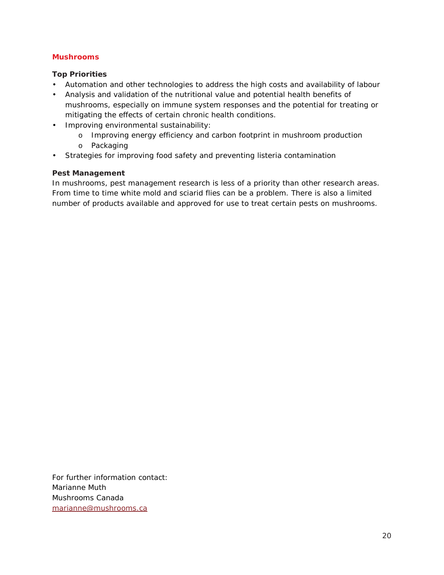#### <span id="page-21-0"></span>**Mushrooms**

#### **Top Priorities**

- Automation and other technologies to address the high costs and availability of labour
- Analysis and validation of the nutritional value and potential health benefits of mushrooms, especially on immune system responses and the potential for treating or mitigating the effects of certain chronic health conditions.
- Improving environmental sustainability:
	- o Improving energy efficiency and carbon footprint in mushroom production
	- o Packaging
- Strategies for improving food safety and preventing listeria contamination

#### **Pest Management**

In mushrooms, pest management research is less of a priority than other research areas. From time to time white mold and sciarid flies can be a problem. There is also a limited number of products available and approved for use to treat certain pests on mushrooms.

For further information contact: Marianne Muth Mushrooms Canada [marianne@mushrooms.ca](mailto:marianne@mushrooms.ca)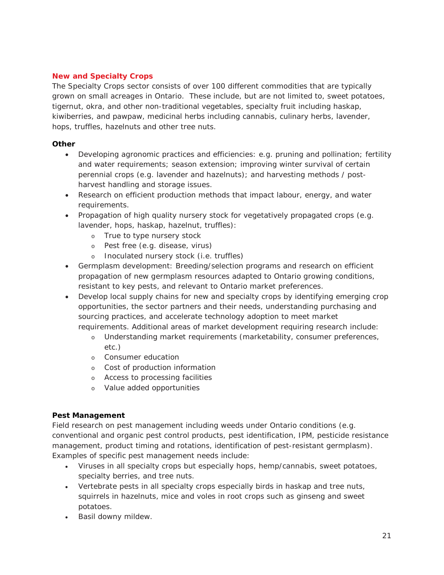#### <span id="page-22-0"></span>**New and Specialty Crops**

The Specialty Crops sector consists of over 100 different commodities that are typically grown on small acreages in Ontario. These include, but are not limited to, sweet potatoes, tigernut, okra, and other non-traditional vegetables, specialty fruit including haskap, kiwiberries, and pawpaw, medicinal herbs including cannabis, culinary herbs, lavender, hops, truffles, hazelnuts and other tree nuts.

#### **Other**

- Developing agronomic practices and efficiencies: e.g. pruning and pollination; fertility and water requirements; season extension; improving winter survival of certain perennial crops (e.g. lavender and hazelnuts); and harvesting methods / postharvest handling and storage issues.
- Research on efficient production methods that impact labour, energy, and water requirements.
- Propagation of high quality nursery stock for vegetatively propagated crops (e.g. lavender, hops, haskap, hazelnut, truffles):
	- o True to type nursery stock
	- o Pest free (e.g. disease, virus)
	- o Inoculated nursery stock (i.e. truffles)
- Germplasm development: Breeding/selection programs and research on efficient propagation of new germplasm resources adapted to Ontario growing conditions, resistant to key pests, and relevant to Ontario market preferences.
- Develop local supply chains for new and specialty crops by identifying emerging crop opportunities, the sector partners and their needs, understanding purchasing and sourcing practices, and accelerate technology adoption to meet market requirements. Additional areas of market development requiring research include:
	- o Understanding market requirements (marketability, consumer preferences, etc.)
	- o Consumer education
	- o Cost of production information
	- o Access to processing facilities
	- o Value added opportunities

#### **Pest Management**

Field research on pest management including weeds under Ontario conditions (e.g. conventional and organic pest control products, pest identification, IPM, pesticide resistance management, product timing and rotations, identification of pest-resistant germplasm). Examples of specific pest management needs include:

- Viruses in all specialty crops but especially hops, hemp/cannabis, sweet potatoes, specialty berries, and tree nuts.
- Vertebrate pests in all specialty crops especially birds in haskap and tree nuts, squirrels in hazelnuts, mice and voles in root crops such as ginseng and sweet potatoes.
- Basil downy mildew.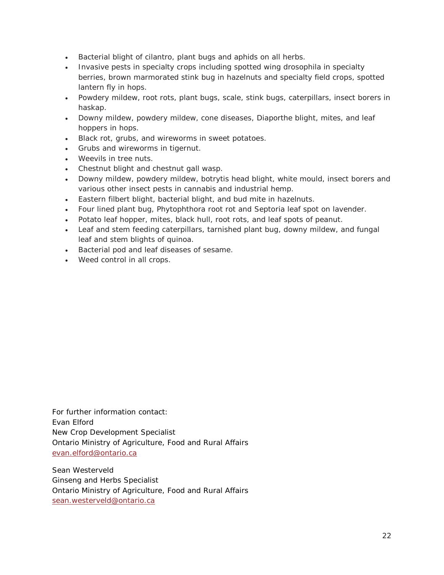- Bacterial blight of cilantro, plant bugs and aphids on all herbs.
- Invasive pests in specialty crops including spotted wing drosophila in specialty berries, brown marmorated stink bug in hazelnuts and specialty field crops, spotted lantern fly in hops.
- Powdery mildew, root rots, plant bugs, scale, stink bugs, caterpillars, insect borers in haskap.
- Downy mildew, powdery mildew, cone diseases, Diaporthe blight, mites, and leaf hoppers in hops.
- Black rot, grubs, and wireworms in sweet potatoes.
- Grubs and wireworms in tigernut.
- Weevils in tree nuts.
- Chestnut blight and chestnut gall wasp.
- Downy mildew, powdery mildew, botrytis head blight, white mould, insect borers and various other insect pests in cannabis and industrial hemp.
- Eastern filbert blight, bacterial blight, and bud mite in hazelnuts.
- Four lined plant bug, Phytophthora root rot and Septoria leaf spot on lavender.
- Potato leaf hopper, mites, black hull, root rots, and leaf spots of peanut.
- Leaf and stem feeding caterpillars, tarnished plant bug, downy mildew, and fungal leaf and stem blights of quinoa.
- Bacterial pod and leaf diseases of sesame.
- Weed control in all crops.

For further information contact: Evan Elford New Crop Development Specialist Ontario Ministry of Agriculture, Food and Rural Affairs [evan.elford@ontario.ca](mailto:evan.elford@ontario.ca)

Sean Westerveld Ginseng and Herbs Specialist Ontario Ministry of Agriculture, Food and Rural Affairs [sean.westerveld@ontario.ca](mailto:sean.westerveld@ontario.ca)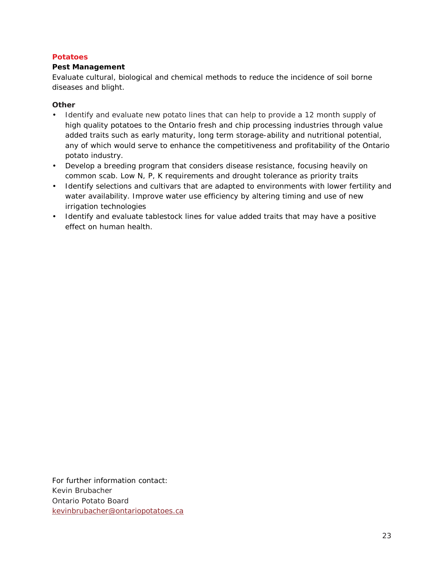#### <span id="page-24-0"></span>**Potatoes**

#### **Pest Management**

Evaluate cultural, biological and chemical methods to reduce the incidence of soil borne diseases and blight.

#### **Other**

- Identify and evaluate new potato lines that can help to provide a 12 month supply of high quality potatoes to the Ontario fresh and chip processing industries through value added traits such as early maturity, long term storage-ability and nutritional potential, any of which would serve to enhance the competitiveness and profitability of the Ontario potato industry.
- Develop a breeding program that considers disease resistance, focusing heavily on common scab. Low N, P, K requirements and drought tolerance as priority traits
- Identify selections and cultivars that are adapted to environments with lower fertility and water availability. Improve water use efficiency by altering timing and use of new irrigation technologies
- Identify and evaluate tablestock lines for value added traits that may have a positive effect on human health.

For further information contact: Kevin Brubacher Ontario Potato Board [kevinbrubacher@ontariopotatoes.ca](mailto:kevinbrubacher@ontariopotatoes.ca)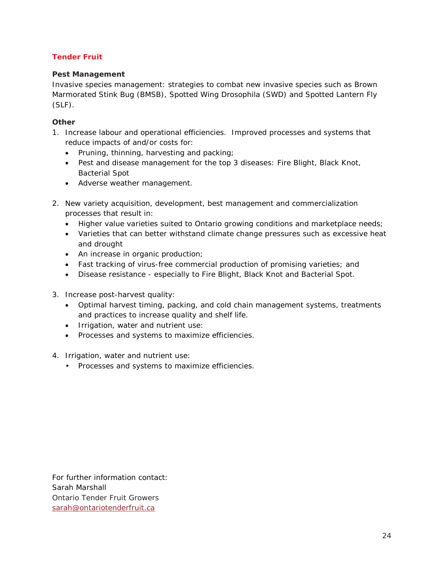#### <span id="page-25-0"></span>**Tender Fruit**

#### **Pest Management**

Invasive species management: strategies to combat new invasive species such as Brown Marmorated Stink Bug (BMSB), Spotted Wing Drosophila (SWD) and Spotted Lantern Fly (SLF).

#### **Other**

- 1. Increase labour and operational efficiencies. Improved processes and systems that reduce impacts of and/or costs for:
	- Pruning, thinning, harvesting and packing;
	- Pest and disease management for the top 3 diseases: Fire Blight, Black Knot, Bacterial Spot
	- Adverse weather management.
- 2. New variety acquisition, development, best management and commercialization processes that result in:
	- Higher value varieties suited to Ontario growing conditions and marketplace needs;
	- Varieties that can better withstand climate change pressures such as excessive heat and drought
	- An increase in organic production;
	- Fast tracking of virus-free commercial production of promising varieties; and
	- Disease resistance especially to Fire Blight, Black Knot and Bacterial Spot.
- 3. Increase post-harvest quality:
	- Optimal harvest timing, packing, and cold chain management systems, treatments and practices to increase quality and shelf life.
	- Irrigation, water and nutrient use:
	- Processes and systems to maximize efficiencies.
- 4. Irrigation, water and nutrient use:
	- Processes and systems to maximize efficiencies.

For further information contact: Sarah Marshall Ontario Tender Fruit Growers [sarah@ontariotenderfruit.ca](mailto:sarah@ontariotenderfruit.ca)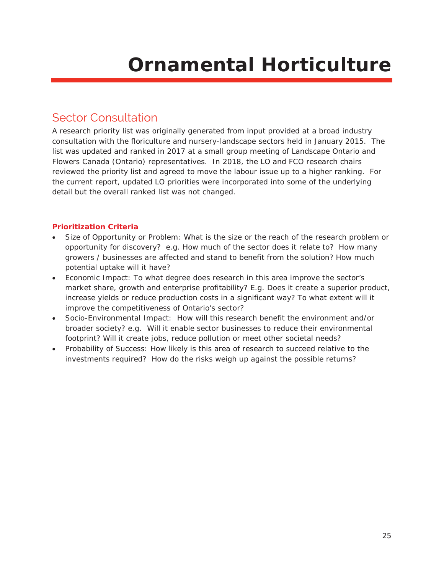## **Ornamental Horticulture**

### <span id="page-26-1"></span><span id="page-26-0"></span>Sector Consultation

A research priority list was originally generated from input provided at a broad industry consultation with the floriculture and nursery-landscape sectors held in January 2015. The list was updated and ranked in 2017 at a small group meeting of Landscape Ontario and Flowers Canada (Ontario) representatives. In 2018, the LO and FCO research chairs reviewed the priority list and agreed to move the labour issue up to a higher ranking. For the current report, updated LO priorities were incorporated into some of the underlying detail but the overall ranked list was not changed.

#### <span id="page-26-2"></span>**Prioritization Criteria**

- Size of Opportunity or Problem: What is the size or the reach of the research problem or opportunity for discovery? e.g. How much of the sector does it relate to? How many growers / businesses are affected and stand to benefit from the solution? How much potential uptake will it have?
- Economic Impact: To what degree does research in this area improve the sector's market share, growth and enterprise profitability? E.g. Does it create a superior product, increase yields or reduce production costs in a significant way? To what extent will it improve the competitiveness of Ontario's sector?
- Socio-Environmental Impact: How will this research benefit the environment and/or broader society? e.g. Will it enable sector businesses to reduce their environmental footprint? Will it create jobs, reduce pollution or meet other societal needs?
- Probability of Success: How likely is this area of research to succeed relative to the investments required? How do the risks weigh up against the possible returns?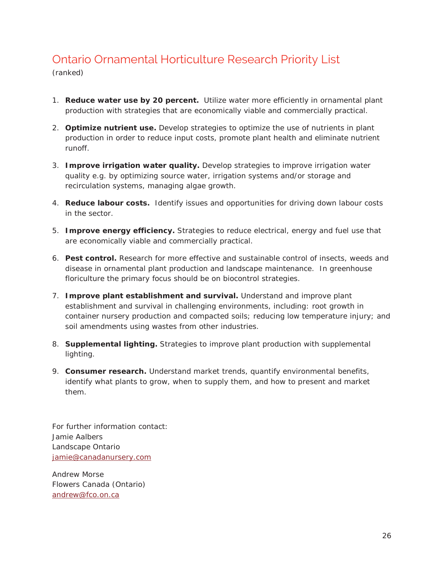## <span id="page-27-0"></span>Ontario Ornamental Horticulture Research Priority List

(ranked)

- 1. **Reduce water use by 20 percent.** Utilize water more efficiently in ornamental plant production with strategies that are economically viable and commercially practical.
- 2. **Optimize nutrient use.** Develop strategies to optimize the use of nutrients in plant production in order to reduce input costs, promote plant health and eliminate nutrient runoff.
- 3. **Improve irrigation water quality.** Develop strategies to improve irrigation water quality e.g. by optimizing source water, irrigation systems and/or storage and recirculation systems, managing algae growth.
- 4. **Reduce labour costs.** Identify issues and opportunities for driving down labour costs in the sector.
- 5. **Improve energy efficiency.** Strategies to reduce electrical, energy and fuel use that are economically viable and commercially practical.
- 6. **Pest control.** Research for more effective and sustainable control of insects, weeds and disease in ornamental plant production and landscape maintenance. In greenhouse floriculture the primary focus should be on biocontrol strategies.
- 7. **Improve plant establishment and survival.** Understand and improve plant establishment and survival in challenging environments, including: root growth in container nursery production and compacted soils; reducing low temperature injury; and soil amendments using wastes from other industries.
- 8. **Supplemental lighting.** Strategies to improve plant production with supplemental lighting.
- 9. **Consumer research.** Understand market trends, quantify environmental benefits, identify what plants to grow, when to supply them, and how to present and market them.

For further information contact: Jamie Aalbers Landscape Ontario [jamie@canadanursery.com](mailto:jamie@canadanursery.com)

Andrew Morse Flowers Canada (Ontario) [andrew@fco.on.ca](mailto:andrew@fco.on.ca)